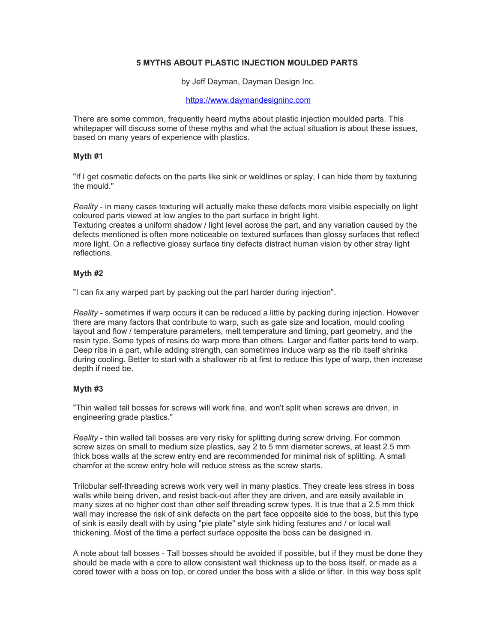# **5 MYTHS ABOUT PLASTIC INJECTION MOULDED PARTS**

by Jeff Dayman, Dayman Design Inc.

### [https://www.daymandesigninc.com](https://www.daymandesigninc.com/)

There are some common, frequently heard myths about plastic injection moulded parts. This whitepaper will discuss some of these myths and what the actual situation is about these issues, based on many years of experience with plastics.

### **Myth #1**

"If I get cosmetic defects on the parts like sink or weldlines or splay, I can hide them by texturing the mould."

*Reality* - in many cases texturing will actually make these defects more visible especially on light coloured parts viewed at low angles to the part surface in bright light.

Texturing creates a uniform shadow / light level across the part, and any variation caused by the defects mentioned is often more noticeable on textured surfaces than glossy surfaces that reflect more light. On a reflective glossy surface tiny defects distract human vision by other stray light reflections.

## **Myth #2**

"I can fix any warped part by packing out the part harder during injection".

*Reality* - sometimes if warp occurs it can be reduced a little by packing during injection. However there are many factors that contribute to warp, such as gate size and location, mould cooling layout and flow / temperature parameters, melt temperature and timing, part geometry, and the resin type. Some types of resins do warp more than others. Larger and flatter parts tend to warp. Deep ribs in a part, while adding strength, can sometimes induce warp as the rib itself shrinks during cooling. Better to start with a shallower rib at first to reduce this type of warp, then increase depth if need be.

### **Myth #3**

"Thin walled tall bosses for screws will work fine, and won't split when screws are driven, in engineering grade plastics."

*Reality* - thin walled tall bosses are very risky for splitting during screw driving. For common screw sizes on small to medium size plastics, say 2 to 5 mm diameter screws, at least 2.5 mm thick boss walls at the screw entry end are recommended for minimal risk of splitting. A small chamfer at the screw entry hole will reduce stress as the screw starts.

Trilobular self-threading screws work very well in many plastics. They create less stress in boss walls while being driven, and resist back-out after they are driven, and are easily available in many sizes at no higher cost than other self threading screw types. It is true that a 2.5 mm thick wall may increase the risk of sink defects on the part face opposite side to the boss, but this type of sink is easily dealt with by using "pie plate" style sink hiding features and / or local wall thickening. Most of the time a perfect surface opposite the boss can be designed in.

A note about tall bosses - Tall bosses should be avoided if possible, but if they must be done they should be made with a core to allow consistent wall thickness up to the boss itself, or made as a cored tower with a boss on top, or cored under the boss with a slide or lifter. In this way boss split